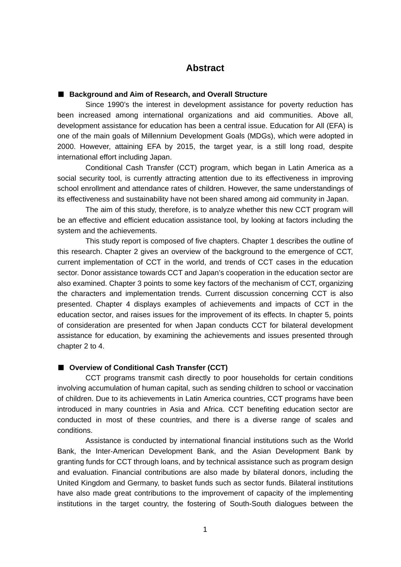# **Abstract**

#### ■ **Background and Aim of Research, and Overall Structure**

Since 1990's the interest in development assistance for poverty reduction has been increased among international organizations and aid communities. Above all, development assistance for education has been a central issue. Education for All (EFA) is one of the main goals of Millennium Development Goals (MDGs), which were adopted in 2000. However, attaining EFA by 2015, the target year, is a still long road, despite international effort including Japan.

Conditional Cash Transfer (CCT) program, which began in Latin America as a social security tool, is currently attracting attention due to its effectiveness in improving school enrollment and attendance rates of children. However, the same understandings of its effectiveness and sustainability have not been shared among aid community in Japan.

The aim of this study, therefore, is to analyze whether this new CCT program will be an effective and efficient education assistance tool, by looking at factors including the system and the achievements.

This study report is composed of five chapters. Chapter 1 describes the outline of this research. Chapter 2 gives an overview of the background to the emergence of CCT, current implementation of CCT in the world, and trends of CCT cases in the education sector. Donor assistance towards CCT and Japan's cooperation in the education sector are also examined. Chapter 3 points to some key factors of the mechanism of CCT, organizing the characters and implementation trends. Current discussion concerning CCT is also presented. Chapter 4 displays examples of achievements and impacts of CCT in the education sector, and raises issues for the improvement of its effects. In chapter 5, points of consideration are presented for when Japan conducts CCT for bilateral development assistance for education, by examining the achievements and issues presented through chapter 2 to 4.

### ■ **Overview of Conditional Cash Transfer (CCT)**

CCT programs transmit cash directly to poor households for certain conditions involving accumulation of human capital, such as sending children to school or vaccination of children. Due to its achievements in Latin America countries, CCT programs have been introduced in many countries in Asia and Africa. CCT benefiting education sector are conducted in most of these countries, and there is a diverse range of scales and conditions.

Assistance is conducted by international financial institutions such as the World Bank, the Inter-American Development Bank, and the Asian Development Bank by granting funds for CCT through loans, and by technical assistance such as program design and evaluation. Financial contributions are also made by bilateral donors, including the United Kingdom and Germany, to basket funds such as sector funds. Bilateral institutions have also made great contributions to the improvement of capacity of the implementing institutions in the target country, the fostering of South-South dialogues between the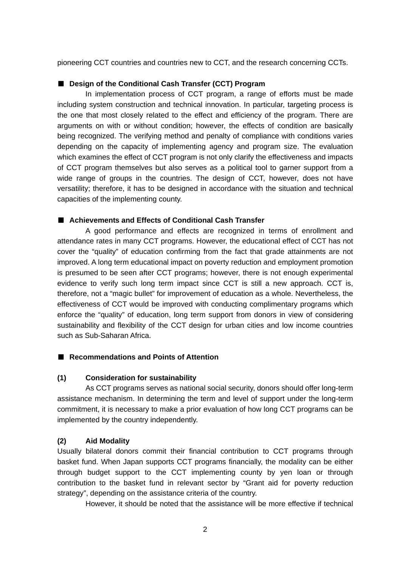pioneering CCT countries and countries new to CCT, and the research concerning CCTs.

#### ■ **Design of the Conditional Cash Transfer (CCT) Program**

In implementation process of CCT program, a range of efforts must be made including system construction and technical innovation. In particular, targeting process is the one that most closely related to the effect and efficiency of the program. There are arguments on with or without condition; however, the effects of condition are basically being recognized. The verifying method and penalty of compliance with conditions varies depending on the capacity of implementing agency and program size. The evaluation which examines the effect of CCT program is not only clarify the effectiveness and impacts of CCT program themselves but also serves as a political tool to garner support from a wide range of groups in the countries. The design of CCT, however, does not have versatility; therefore, it has to be designed in accordance with the situation and technical capacities of the implementing county.

### ■ **Achievements and Effects of Conditional Cash Transfer**

A good performance and effects are recognized in terms of enrollment and attendance rates in many CCT programs. However, the educational effect of CCT has not cover the "quality" of education confirming from the fact that grade attainments are not improved. A long term educational impact on poverty reduction and employment promotion is presumed to be seen after CCT programs; however, there is not enough experimental evidence to verify such long term impact since CCT is still a new approach. CCT is, therefore, not a "magic bullet" for improvement of education as a whole. Nevertheless, the effectiveness of CCT would be improved with conducting complimentary programs which enforce the "quality" of education, long term support from donors in view of considering sustainability and flexibility of the CCT design for urban cities and low income countries such as Sub-Saharan Africa.

#### ■ **Recommendations and Points of Attention**

#### **(1) Consideration for sustainability**

As CCT programs serves as national social security, donors should offer long-term assistance mechanism. In determining the term and level of support under the long-term commitment, it is necessary to make a prior evaluation of how long CCT programs can be implemented by the country independently.

### **(2) Aid Modality**

Usually bilateral donors commit their financial contribution to CCT programs through basket fund. When Japan supports CCT programs financially, the modality can be either through budget support to the CCT implementing county by yen loan or through contribution to the basket fund in relevant sector by "Grant aid for poverty reduction strategy", depending on the assistance criteria of the country.

However, it should be noted that the assistance will be more effective if technical